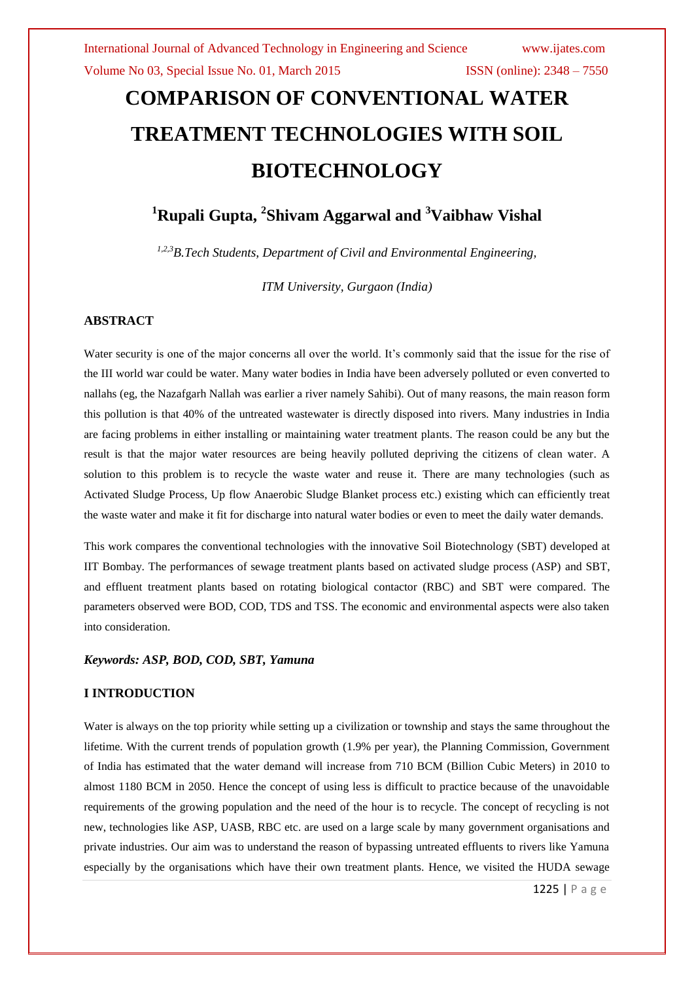# **COMPARISON OF CONVENTIONAL WATER TREATMENT TECHNOLOGIES WITH SOIL BIOTECHNOLOGY**

# **<sup>1</sup>Rupali Gupta, <sup>2</sup> Shivam Aggarwal and <sup>3</sup>Vaibhaw Vishal**

*1,2,3B.Tech Students, Department of Civil and Environmental Engineering,* 

*ITM University, Gurgaon (India)*

#### **ABSTRACT**

Water security is one of the major concerns all over the world. It's commonly said that the issue for the rise of the III world war could be water. Many water bodies in India have been adversely polluted or even converted to nallahs (eg, the Nazafgarh Nallah was earlier a river namely Sahibi). Out of many reasons, the main reason form this pollution is that 40% of the untreated wastewater is directly disposed into rivers. Many industries in India are facing problems in either installing or maintaining water treatment plants. The reason could be any but the result is that the major water resources are being heavily polluted depriving the citizens of clean water. A solution to this problem is to recycle the waste water and reuse it. There are many technologies (such as Activated Sludge Process, Up flow Anaerobic Sludge Blanket process etc.) existing which can efficiently treat the waste water and make it fit for discharge into natural water bodies or even to meet the daily water demands.

This work compares the conventional technologies with the innovative Soil Biotechnology (SBT) developed at IIT Bombay. The performances of sewage treatment plants based on activated sludge process (ASP) and SBT, and effluent treatment plants based on rotating biological contactor (RBC) and SBT were compared. The parameters observed were BOD, COD, TDS and TSS. The economic and environmental aspects were also taken into consideration.

#### *Keywords: ASP, BOD, COD, SBT, Yamuna*

#### **I INTRODUCTION**

Water is always on the top priority while setting up a civilization or township and stays the same throughout the lifetime. With the current trends of population growth (1.9% per year), the Planning Commission, Government of India has estimated that the water demand will increase from 710 BCM (Billion Cubic Meters) in 2010 to almost 1180 BCM in 2050. Hence the concept of using less is difficult to practice because of the unavoidable requirements of the growing population and the need of the hour is to recycle. The concept of recycling is not new, technologies like ASP, UASB, RBC etc. are used on a large scale by many government organisations and private industries. Our aim was to understand the reason of bypassing untreated effluents to rivers like Yamuna especially by the organisations which have their own treatment plants. Hence, we visited the HUDA sewage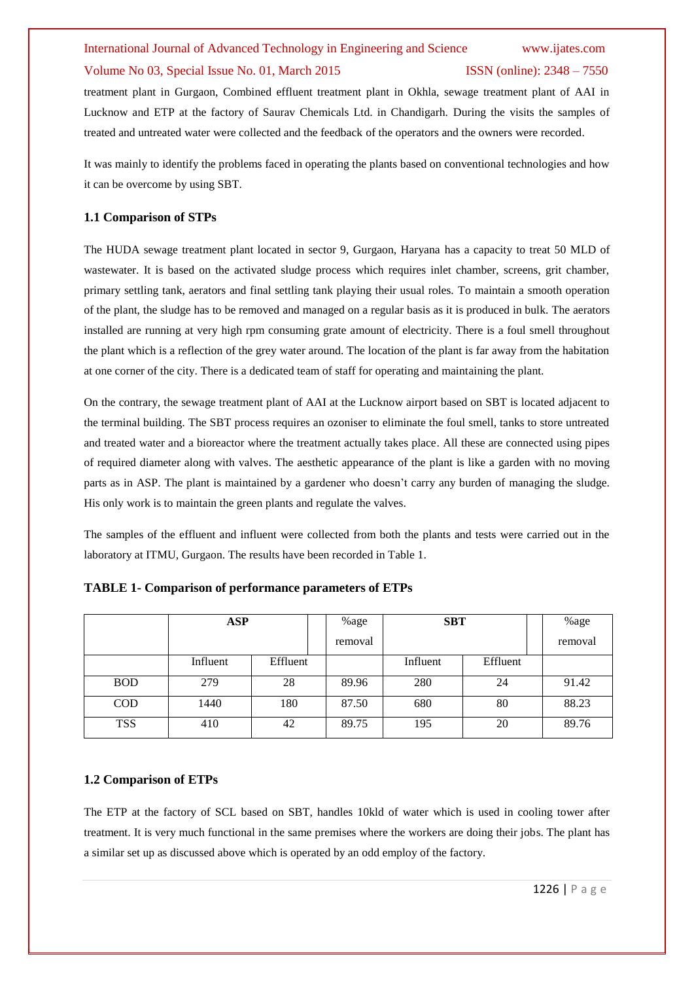# International Journal of Advanced Technology in Engineering and Science www.ijates.com

#### Volume No 03, Special Issue No. 01, March 2015 ISSN (online): 2348 – 7550

treatment plant in Gurgaon, Combined effluent treatment plant in Okhla, sewage treatment plant of AAI in Lucknow and ETP at the factory of Saurav Chemicals Ltd. in Chandigarh. During the visits the samples of treated and untreated water were collected and the feedback of the operators and the owners were recorded.

It was mainly to identify the problems faced in operating the plants based on conventional technologies and how it can be overcome by using SBT.

#### **1.1 Comparison of STPs**

The HUDA sewage treatment plant located in sector 9, Gurgaon, Haryana has a capacity to treat 50 MLD of wastewater. It is based on the activated sludge process which requires inlet chamber, screens, grit chamber, primary settling tank, aerators and final settling tank playing their usual roles. To maintain a smooth operation of the plant, the sludge has to be removed and managed on a regular basis as it is produced in bulk. The aerators installed are running at very high rpm consuming grate amount of electricity. There is a foul smell throughout the plant which is a reflection of the grey water around. The location of the plant is far away from the habitation at one corner of the city. There is a dedicated team of staff for operating and maintaining the plant.

On the contrary, the sewage treatment plant of AAI at the Lucknow airport based on SBT is located adjacent to the terminal building. The SBT process requires an ozoniser to eliminate the foul smell, tanks to store untreated and treated water and a bioreactor where the treatment actually takes place. All these are connected using pipes of required diameter along with valves. The aesthetic appearance of the plant is like a garden with no moving parts as in ASP. The plant is maintained by a gardener who doesn't carry any burden of managing the sludge. His only work is to maintain the green plants and regulate the valves.

The samples of the effluent and influent were collected from both the plants and tests were carried out in the laboratory at ITMU, Gurgaon. The results have been recorded in Table 1.

|            | ASP      |          | %age    | <b>SBT</b> |          | %age    |
|------------|----------|----------|---------|------------|----------|---------|
|            |          |          | removal |            |          | removal |
|            | Influent | Effluent |         | Influent   | Effluent |         |
| <b>BOD</b> | 279      | 28       | 89.96   | 280        | 24       | 91.42   |
| <b>COD</b> | 1440     | 180      | 87.50   | 680        | 80       | 88.23   |
| <b>TSS</b> | 410      | 42       | 89.75   | 195        | 20       | 89.76   |

**TABLE 1- Comparison of performance parameters of ETPs**

#### **1.2 Comparison of ETPs**

The ETP at the factory of SCL based on SBT, handles 10kld of water which is used in cooling tower after treatment. It is very much functional in the same premises where the workers are doing their jobs. The plant has a similar set up as discussed above which is operated by an odd employ of the factory.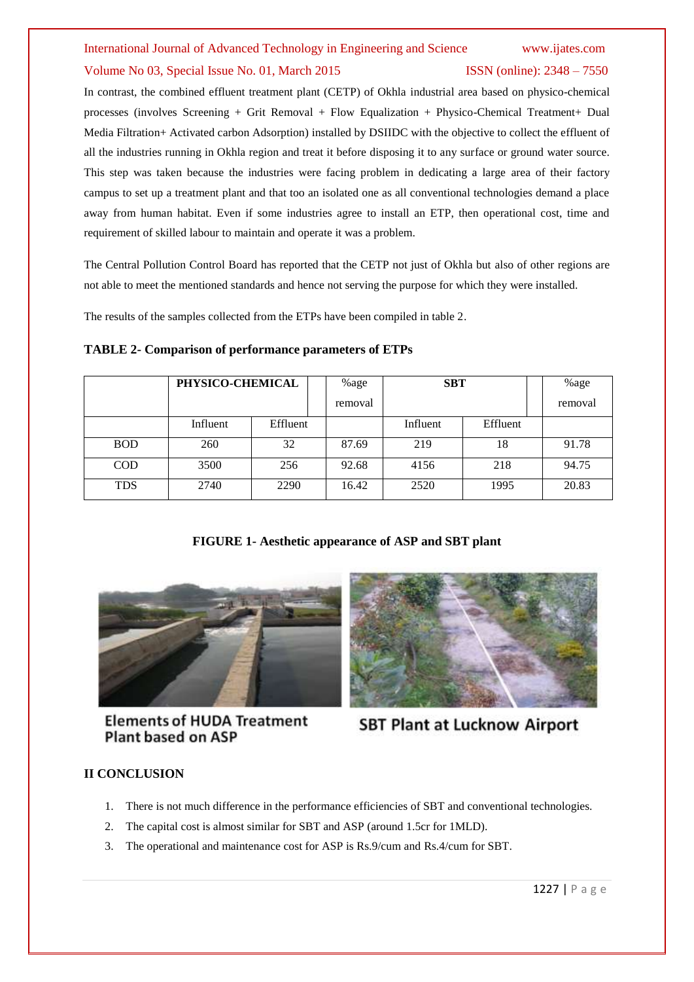## International Journal of Advanced Technology in Engineering and Science www.ijates.com Volume No 03, Special Issue No. 01, March 2015 ISSN (online): 2348 – 7550

In contrast, the combined effluent treatment plant (CETP) of Okhla industrial area based on physico-chemical processes (involves Screening + Grit Removal + Flow Equalization + Physico-Chemical Treatment+ Dual Media Filtration+ Activated carbon Adsorption) installed by DSIIDC with the objective to collect the effluent of all the industries running in Okhla region and treat it before disposing it to any surface or ground water source. This step was taken because the industries were facing problem in dedicating a large area of their factory campus to set up a treatment plant and that too an isolated one as all conventional technologies demand a place away from human habitat. Even if some industries agree to install an ETP, then operational cost, time and requirement of skilled labour to maintain and operate it was a problem.

The Central Pollution Control Board has reported that the CETP not just of Okhla but also of other regions are not able to meet the mentioned standards and hence not serving the purpose for which they were installed.

The results of the samples collected from the ETPs have been compiled in table 2.

|            | PHYSICO-CHEMICAL |          | %age    | <b>SBT</b> |          | %age    |
|------------|------------------|----------|---------|------------|----------|---------|
|            |                  |          | removal |            |          | removal |
|            | Influent         | Effluent |         | Influent   | Effluent |         |
| <b>BOD</b> | 260              | 32       | 87.69   | 219        | 18       | 91.78   |
| <b>COD</b> | 3500             | 256      | 92.68   | 4156       | 218      | 94.75   |
| <b>TDS</b> | 2740             | 2290     | 16.42   | 2520       | 1995     | 20.83   |

#### **TABLE 2- Comparison of performance parameters of ETPs**

### **FIGURE 1- Aesthetic appearance of ASP and SBT plant**



**Elements of HUDA Treatment Plant based on ASP** 



**SBT Plant at Lucknow Airport** 

### **II CONCLUSION**

- 1. There is not much difference in the performance efficiencies of SBT and conventional technologies.
- 2. The capital cost is almost similar for SBT and ASP (around 1.5cr for 1MLD).
- 3. The operational and maintenance cost for ASP is Rs.9/cum and Rs.4/cum for SBT.